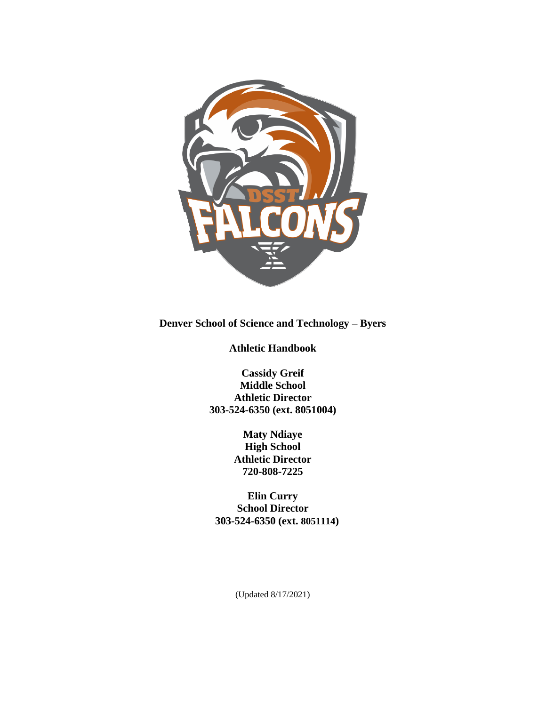

**Denver School of Science and Technology – Byers** 

**Athletic Handbook**

**Cassidy Greif Middle School Athletic Director 303-524-6350 (ext. 8051004)**

> **Maty Ndiaye High School Athletic Director 720-808-7225**

**Elin Curry School Director 303-524-6350 (ext. 8051114)**

(Updated 8/17/2021)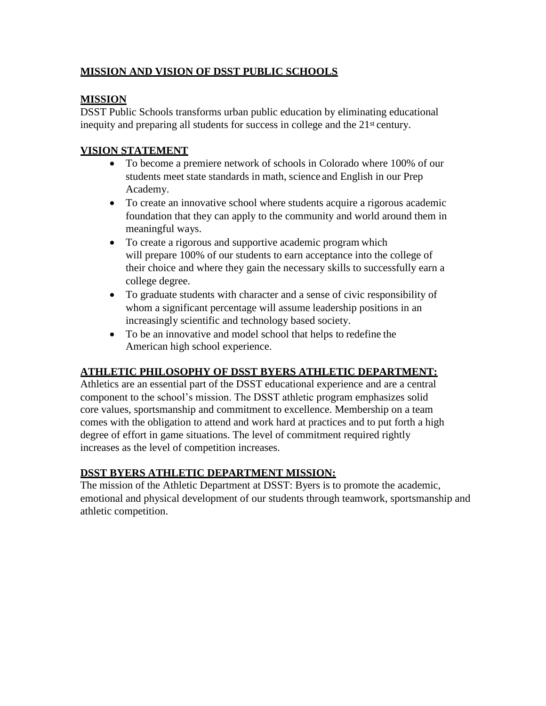## **MISSION AND VISION OF DSST PUBLIC SCHOOLS**

## **MISSION**

DSST Public Schools transforms urban public education by eliminating educational inequity and preparing all students for success in college and the 21<sup>st</sup> century.

## **VISION STATEMENT**

- To become a premiere network of schools in Colorado where 100% of our students meet state standards in math, science and English in our Prep Academy.
- To create an innovative school where students acquire a rigorous academic foundation that they can apply to the community and world around them in meaningful ways.
- To create a rigorous and supportive academic program which will prepare 100% of our students to earn acceptance into the college of their choice and where they gain the necessary skills to successfully earn a college degree.
- To graduate students with character and a sense of civic responsibility of whom a significant percentage will assume leadership positions in an increasingly scientific and technology based society.
- To be an innovative and model school that helps to redefine the American high school experience.

## **ATHLETIC PHILOSOPHY OF DSST BYERS ATHLETIC DEPARTMENT:**

Athletics are an essential part of the DSST educational experience and are a central component to the school's mission. The DSST athletic program emphasizes solid core values, sportsmanship and commitment to excellence. Membership on a team comes with the obligation to attend and work hard at practices and to put forth a high degree of effort in game situations. The level of commitment required rightly increases as the level of competition increases.

# **DSST BYERS ATHLETIC DEPARTMENT MISSION:**

The mission of the Athletic Department at DSST: Byers is to promote the academic, emotional and physical development of our students through teamwork, sportsmanship and athletic competition.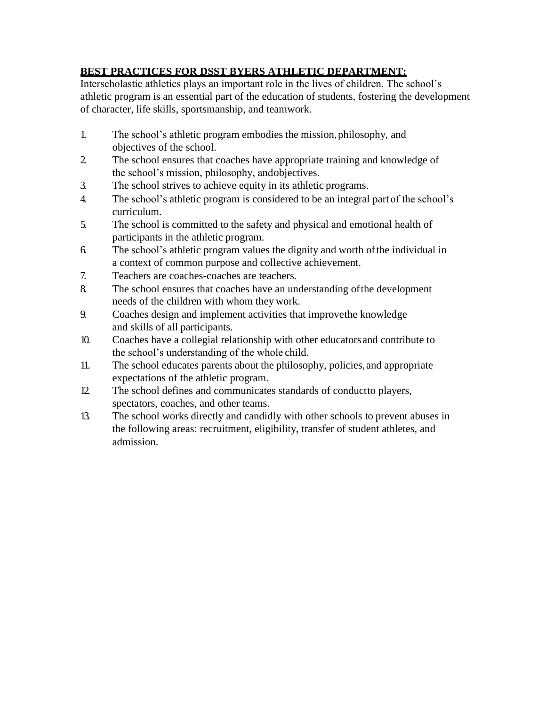# **BEST PRACTICES FOR DSST BYERS ATHLETIC DEPARTMENT:**

Interscholastic athletics plays an important role in the lives of children. The school's athletic program is an essential part of the education of students, fostering the development of character, life skills, sportsmanship, and teamwork.

- 1. The school's athletic program embodies the mission,philosophy, and objectives of the school.
- 2. The school ensures that coaches have appropriate training and knowledge of the school's mission, philosophy, andobjectives.
- 3. The school strives to achieve equity in its athletic programs.
- 4. The school's athletic program is considered to be an integral part of the school's curriculum.
- 5. The school is committed to the safety and physical and emotional health of participants in the athletic program.
- 6. The school's athletic program values the dignity and worth ofthe individual in a context of common purpose and collective achievement.
- 7. Teachers are coaches-coaches are teachers.
- 8. The school ensures that coaches have an understanding ofthe development needs of the children with whom they work.
- 9. Coaches design and implement activities that improvethe knowledge and skills of all participants.
- 10. Coaches have a collegial relationship with other educatorsand contribute to the school's understanding of the whole child.
- 11. The school educates parents about the philosophy, policies,and appropriate expectations of the athletic program.
- 12. The school defines and communicates standards of conductto players, spectators, coaches, and other teams.
- 13. The school works directly and candidly with other schools to prevent abuses in the following areas: recruitment, eligibility, transfer of student athletes, and admission.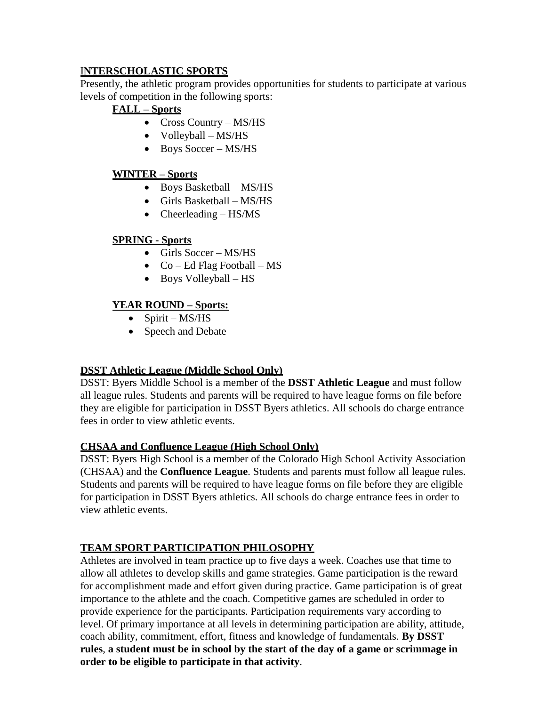### I**NTERSCHOLASTIC SPORTS**

Presently, the athletic program provides opportunities for students to participate at various levels of competition in the following sports:

## **FALL – Sports**

- Cross Country MS/HS
- Volleyball MS/HS
- Boys Soccer MS/HS

## **WINTER – Sports**

- Boys Basketball MS/HS
- Girls Basketball MS/HS
- Cheerleading  $-$  HS/MS

### **SPRING - Sports**

- $\bullet$  Girls Soccer MS/HS
- $\bullet$  Co Ed Flag Football MS
- Boys Volleyball HS

### **YEAR ROUND – Sports:**

- $\bullet$  Spirit MS/HS
- Speech and Debate

## **DSST Athletic League (Middle School Only)**

DSST: Byers Middle School is a member of the **DSST Athletic League** and must follow all league rules. Students and parents will be required to have league forms on file before they are eligible for participation in DSST Byers athletics. All schools do charge entrance fees in order to view athletic events.

### **CHSAA and Confluence League (High School Only)**

DSST: Byers High School is a member of the Colorado High School Activity Association (CHSAA) and the **Confluence League**. Students and parents must follow all league rules. Students and parents will be required to have league forms on file before they are eligible for participation in DSST Byers athletics. All schools do charge entrance fees in order to view athletic events.

## **TEAM SPORT PARTICIPATION PHILOSOPHY**

Athletes are involved in team practice up to five days a week. Coaches use that time to allow all athletes to develop skills and game strategies. Game participation is the reward for accomplishment made and effort given during practice. Game participation is of great importance to the athlete and the coach. Competitive games are scheduled in order to provide experience for the participants. Participation requirements vary according to level. Of primary importance at all levels in determining participation are ability, attitude, coach ability, commitment, effort, fitness and knowledge of fundamentals. **By DSST rules**, **a student must be in school by the start of the day of a game or scrimmage in order to be eligible to participate in that activity**.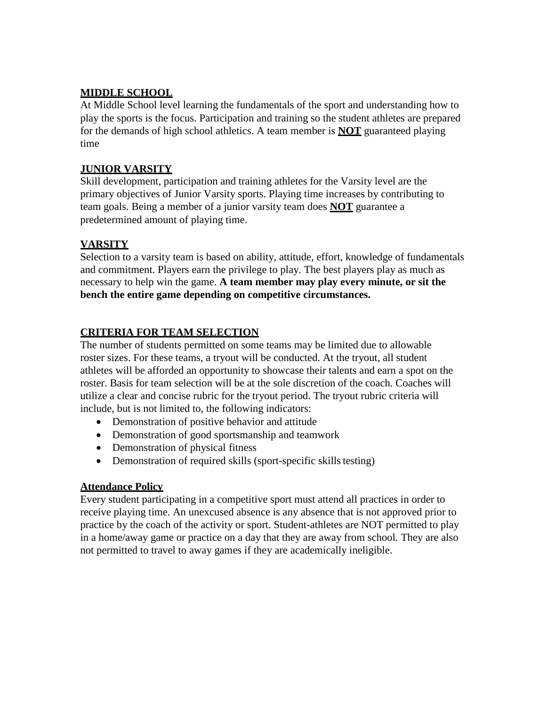### **MIDDLE SCHOOL**

At Middle School level learning the fundamentals of the sport and understanding how to play the sports is the focus. Participation and training so the student athletes are prepared for the demands of high school athletics. A team member is **NOT** guaranteed playing time

### **JUNIOR VARSITY**

Skill development, participation and training athletes for the Varsity level are the primary objectives of Junior Varsity sports. Playing time increases by contributing to team goals. Being a member of a junior varsity team does **NOT** guarantee a predetermined amount of playing time.

## **VARSITY**

Selection to a varsity team is based on ability, attitude, effort, knowledge of fundamentals and commitment. Players earn the privilege to play. The best players play as much as necessary to help win the game. **A team member may play every minute, or sit the bench the entire game depending on competitive circumstances.**

## **CRITERIA FOR TEAM SELECTION**

The number of students permitted on some teams may be limited due to allowable roster sizes. For these teams, a tryout will be conducted. At the tryout, all student athletes will be afforded an opportunity to showcase their talents and earn a spot on the roster. Basis for team selection will be at the sole discretion of the coach. Coaches will utilize a clear and concise rubric for the tryout period. The tryout rubric criteria will include, but is not limited to, the following indicators:

- Demonstration of positive behavior and attitude
- Demonstration of good sportsmanship and teamwork
- Demonstration of physical fitness
- Demonstration of required skills (sport-specific skills testing)

### **Attendance Policy**

Every student participating in a competitive sport must attend all practices in order to receive playing time. An unexcused absence is any absence that is not approved prior to practice by the coach of the activity or sport. Student-athletes are NOT permitted to play in a home/away game or practice on a day that they are away from school. They are also not permitted to travel to away games if they are academically ineligible.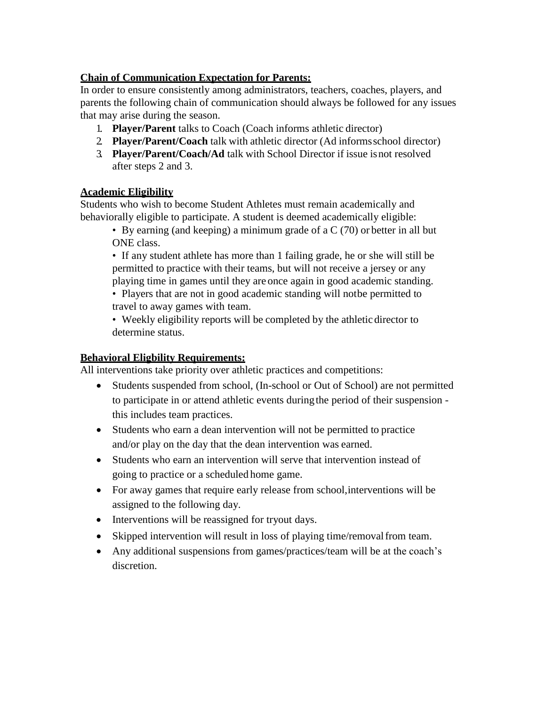### **Chain of Communication Expectation for Parents:**

In order to ensure consistently among administrators, teachers, coaches, players, and parents the following chain of communication should always be followed for any issues that may arise during the season.

- 1. **Player/Parent** talks to Coach (Coach informs athletic director)
- 2. **Player/Parent/Coach** talk with athletic director (Ad informsschool director)
- 3. **Player/Parent/Coach/Ad** talk with School Director if issue isnot resolved after steps 2 and 3.

### **Academic Eligibility**

Students who wish to become Student Athletes must remain academically and behaviorally eligible to participate. A student is deemed academically eligible:

• By earning (and keeping) a minimum grade of a C (70) or better in all but ONE class.

• If any student athlete has more than 1 failing grade, he or she will still be permitted to practice with their teams, but will not receive a jersey or any playing time in games until they are once again in good academic standing. • Players that are not in good academic standing will notbe permitted to travel to away games with team.

• Weekly eligibility reports will be completed by the athletic director to determine status.

### **Behavioral Eligbility Requirements:**

All interventions take priority over athletic practices and competitions:

- Students suspended from school, (In-school or Out of School) are not permitted to participate in or attend athletic events duringthe period of their suspension this includes team practices.
- Students who earn a dean intervention will not be permitted to practice and/or play on the day that the dean intervention was earned.
- Students who earn an intervention will serve that intervention instead of going to practice or a scheduled home game.
- For away games that require early release from school, interventions will be assigned to the following day.
- Interventions will be reassigned for tryout days.
- Skipped intervention will result in loss of playing time/removalfrom team.
- Any additional suspensions from games/practices/team will be at the coach's discretion.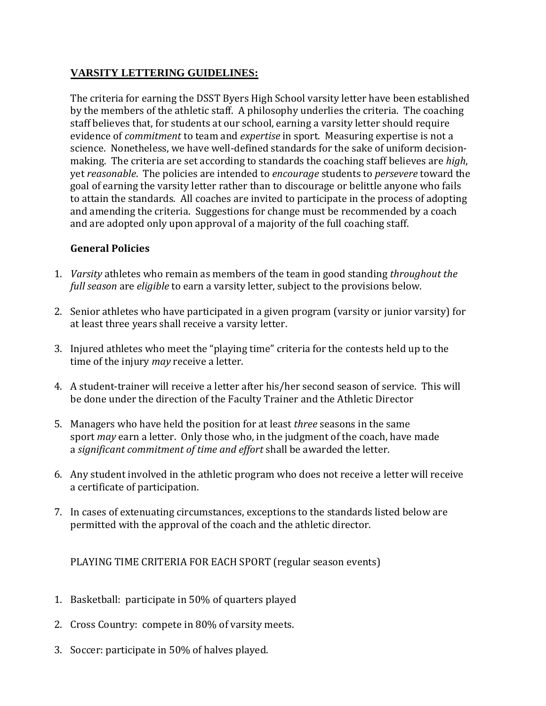## **VARSITY LETTERING GUIDELINES:**

The criteria for earning the DSST Byers High School varsity letter have been established by the members of the athletic staff. A philosophy underlies the criteria. The coaching staff believes that, for students at our school, earning a varsity letter should require evidence of *commitment* to team and *expertise* in sport. Measuring expertise is not a science. Nonetheless, we have well-defined standards for the sake of uniform decisionmaking. The criteria are set according to standards the coaching staff believes are *high*, yet *reasonable*. The policies are intended to *encourage* students to *persevere* toward the goal of earning the varsity letter rather than to discourage or belittle anyone who fails to attain the standards. All coaches are invited to participate in the process of adopting and amending the criteria. Suggestions for change must be recommended by a coach and are adopted only upon approval of a majority of the full coaching staff.

## **General Policies**

- 1. *Varsity* athletes who remain as members of the team in good standing *throughout the full season* are *eligible* to earn a varsity letter, subject to the provisions below.
- 2. Senior athletes who have participated in a given program (varsity or junior varsity) for at least three years shall receive a varsity letter.
- 3. Injured athletes who meet the "playing time" criteria for the contests held up to the time of the injury *may* receive a letter.
- 4. A student-trainer will receive a letter after his/her second season of service. This will be done under the direction of the Faculty Trainer and the Athletic Director
- 5. Managers who have held the position for at least *three* seasons in the same sport *may* earn a letter. Only those who, in the judgment of the coach, have made a *significant commitment of time and effort* shall be awarded the letter.
- 6. Any student involved in the athletic program who does not receive a letter will receive a certificate of participation.
- 7. In cases of extenuating circumstances, exceptions to the standards listed below are permitted with the approval of the coach and the athletic director.

PLAYING TIME CRITERIA FOR EACH SPORT (regular season events)

- 1. Basketball: participate in 50% of quarters played
- 2. Cross Country: compete in 80% of varsity meets.
- 3. Soccer: participate in 50% of halves played.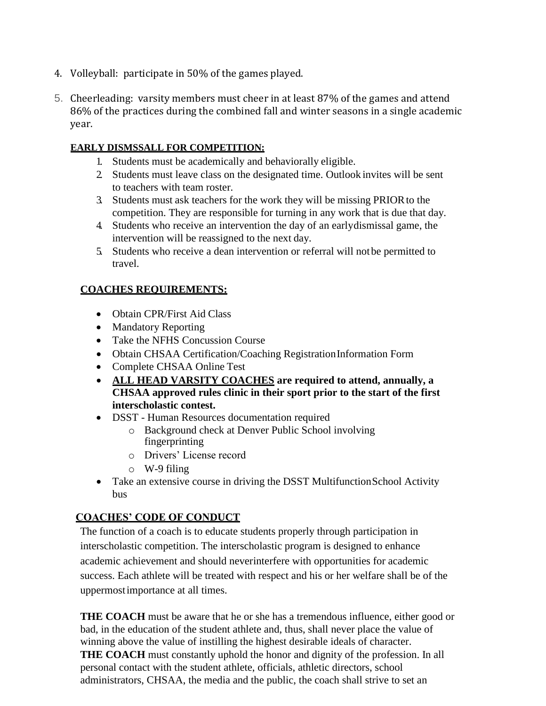- 4. Volleyball: participate in 50% of the games played.
- 5. Cheerleading: varsity members must cheer in at least 87% of the games and attend 86% of the practices during the combined fall and winter seasons in a single academic year.

### **EARLY DISMSSALL FOR COMPETITION:**

- 1. Students must be academically and behaviorally eligible.
- 2. Students must leave class on the designated time. Outlook invites will be sent to teachers with team roster.
- 3. Students must ask teachers for the work they will be missing PRIORto the competition. They are responsible for turning in any work that is due that day.
- 4. Students who receive an intervention the day of an earlydismissal game, the intervention will be reassigned to the next day.
- 5. Students who receive a dean intervention or referral will notbe permitted to travel.

### **COACHES REQUIREMENTS:**

- Obtain CPR/First Aid Class
- Mandatory Reporting
- Take the NFHS Concussion Course
- Obtain CHSAA Certification/Coaching RegistrationInformation Form
- Complete CHSAA Online Test
- **ALL HEAD VARSITY COACHES are required to attend, annually, a CHSAA approved rules clinic in their sport prior to the start of the first interscholastic contest.**
- DSST Human Resources documentation required
	- o Background check at Denver Public School involving fingerprinting
	- o Drivers' License record
	- o W-9 filing
- Take an extensive course in driving the DSST Multifunction School Activity bus

## **COACHES' CODE OF CONDUCT**

The function of a coach is to educate students properly through participation in interscholastic competition. The interscholastic program is designed to enhance academic achievement and should neverinterfere with opportunities for academic success. Each athlete will be treated with respect and his or her welfare shall be of the uppermostimportance at all times.

**THE COACH** must be aware that he or she has a tremendous influence, either good or bad, in the education of the student athlete and, thus, shall never place the value of winning above the value of instilling the highest desirable ideals of character. **THE COACH** must constantly uphold the honor and dignity of the profession. In all personal contact with the student athlete, officials, athletic directors, school administrators, CHSAA, the media and the public, the coach shall strive to set an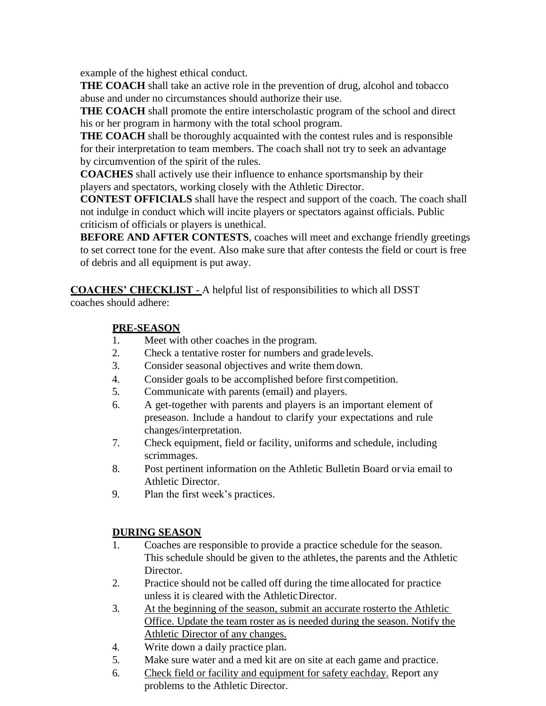example of the highest ethical conduct.

**THE COACH** shall take an active role in the prevention of drug, alcohol and tobacco abuse and under no circumstances should authorize their use.

**THE COACH** shall promote the entire interscholastic program of the school and direct his or her program in harmony with the total school program.

**THE COACH** shall be thoroughly acquainted with the contest rules and is responsible for their interpretation to team members. The coach shall not try to seek an advantage by circumvention of the spirit of the rules.

**COACHES** shall actively use their influence to enhance sportsmanship by their players and spectators, working closely with the Athletic Director.

**CONTEST OFFICIALS** shall have the respect and support of the coach. The coach shall not indulge in conduct which will incite players or spectators against officials. Public criticism of officials or players is unethical.

**BEFORE AND AFTER CONTESTS**, coaches will meet and exchange friendly greetings to set correct tone for the event. Also make sure that after contests the field or court is free of debris and all equipment is put away.

**COACHES' CHECKLIST** - A helpful list of responsibilities to which all DSST

coaches should adhere:

## **PRE-SEASON**

- 1. Meet with other coaches in the program.
- 2. Check a tentative roster for numbers and gradelevels.
- 3. Consider seasonal objectives and write them down.
- 4. Consider goals to be accomplished before first competition.
- 5. Communicate with parents (email) and players.
- 6. A get-together with parents and players is an important element of preseason. Include a handout to clarify your expectations and rule changes/interpretation.
- 7. Check equipment, field or facility, uniforms and schedule, including scrimmages.
- 8. Post pertinent information on the Athletic Bulletin Board orvia email to Athletic Director.
- 9. Plan the first week's practices.

## **DURING SEASON**

- 1. Coaches are responsible to provide a practice schedule for the season. This schedule should be given to the athletes, the parents and the Athletic Director.
- 2. Practice should not be called off during the time allocated for practice unless it is cleared with the AthleticDirector.
- 3. At the beginning of the season, submit an accurate rosterto the Athletic Office. Update the team roster as is needed during the season. Notify the Athletic Director of any changes.
- 4. Write down a daily practice plan.
- 5. Make sure water and a med kit are on site at each game and practice.
- 6. Check field or facility and equipment for safety eachday. Report any problems to the Athletic Director.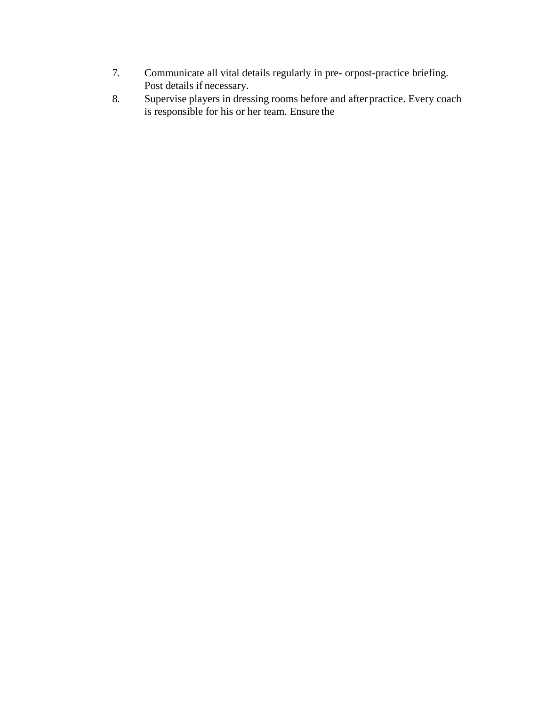- 7. Communicate all vital details regularly in pre- orpost-practice briefing. Post details if necessary.
- 8. Supervise players in dressing rooms before and afterpractice. Every coach is responsible for his or her team. Ensure the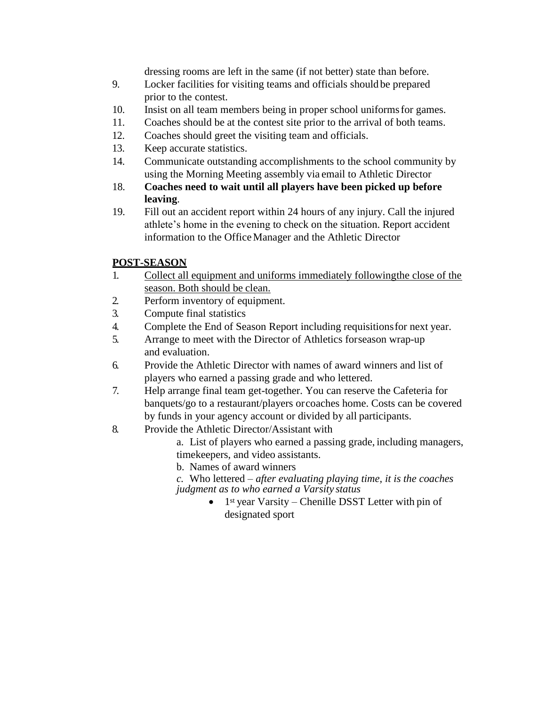dressing rooms are left in the same (if not better) state than before.

- 9. Locker facilities for visiting teams and officials should be prepared prior to the contest.
- 10. Insist on all team members being in proper school uniformsfor games.
- 11. Coaches should be at the contest site prior to the arrival of both teams.
- 12. Coaches should greet the visiting team and officials.
- 13. Keep accurate statistics.
- 14. Communicate outstanding accomplishments to the school community by using the Morning Meeting assembly via email to Athletic Director
- 18. **Coaches need to wait until all players have been picked up before leaving**.
- 19. Fill out an accident report within 24 hours of any injury. Call the injured athlete's home in the evening to check on the situation. Report accident information to the OfficeManager and the Athletic Director

## **POST-SEASON**

- 1. Collect all equipment and uniforms immediately followingthe close of the season. Both should be clean.
- 2. Perform inventory of equipment.
- 3. Compute final statistics
- 4. Complete the End of Season Report including requisitionsfor next year.
- 5. Arrange to meet with the Director of Athletics forseason wrap-up and evaluation.
- 6. Provide the Athletic Director with names of award winners and list of players who earned a passing grade and who lettered.
- 7. Help arrange final team get-together. You can reserve the Cafeteria for banquets/go to a restaurant/players orcoaches home. Costs can be covered by funds in your agency account or divided by all participants.
- 8. Provide the Athletic Director/Assistant with
	- a. List of players who earned a passing grade, including managers, timekeepers, and video assistants.
	- b. Names of award winners
	- *c.* Who lettered *– after evaluating playing time, it is the coaches judgment as to who earned a Varsity status*
		- $\bullet$  1<sup>st</sup> year Varsity Chenille DSST Letter with pin of designated sport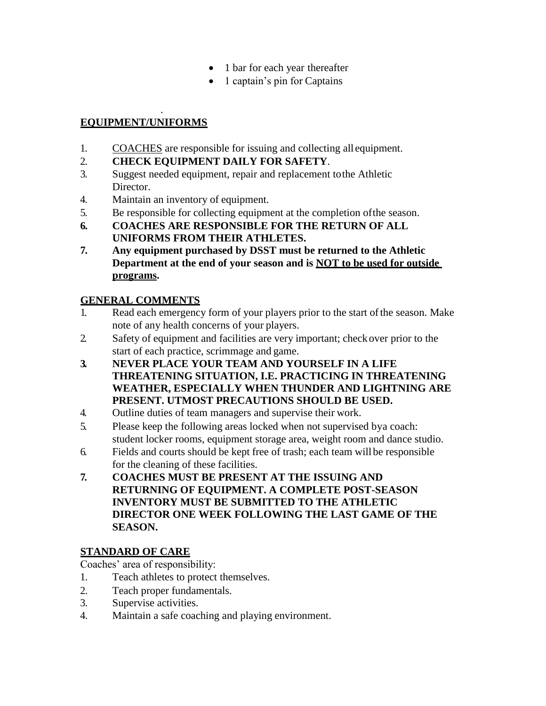- 1 bar for each year thereafter
- 1 captain's pin for Captains

#### . **EQUIPMENT/UNIFORMS**

- 1. COACHES are responsible for issuing and collecting all equipment.
- 2. **CHECK EQUIPMENT DAILY FOR SAFETY**.
- 3. Suggest needed equipment, repair and replacement tothe Athletic Director.
- 4. Maintain an inventory of equipment.
- 5. Be responsible for collecting equipment at the completion ofthe season.
- **6. COACHES ARE RESPONSIBLE FOR THE RETURN OF ALL UNIFORMS FROM THEIR ATHLETES.**
- **7. Any equipment purchased by DSST must be returned to the Athletic Department at the end of your season and is NOT to be used for outside programs.**

# **GENERAL COMMENTS**

- 1. Read each emergency form of your players prior to the start of the season. Make note of any health concerns of your players.
- 2. Safety of equipment and facilities are very important; check over prior to the start of each practice, scrimmage and game.
- **3. NEVER PLACE YOUR TEAM AND YOURSELF IN A LIFE THREATENING SITUATION, I.E. PRACTICING IN THREATENING WEATHER, ESPECIALLY WHEN THUNDER AND LIGHTNING ARE PRESENT. UTMOST PRECAUTIONS SHOULD BE USED.**
- 4. Outline duties of team managers and supervise their work.
- 5. Please keep the following areas locked when not supervised bya coach: student locker rooms, equipment storage area, weight room and dance studio.
- 6. Fields and courts should be kept free of trash; each team will be responsible for the cleaning of these facilities.
- **7. COACHES MUST BE PRESENT AT THE ISSUING AND RETURNING OF EQUIPMENT. A COMPLETE POST-SEASON INVENTORY MUST BE SUBMITTED TO THE ATHLETIC DIRECTOR ONE WEEK FOLLOWING THE LAST GAME OF THE SEASON.**

# **STANDARD OF CARE**

Coaches' area of responsibility:

- 1. Teach athletes to protect themselves.
- 2. Teach proper fundamentals.
- 3. Supervise activities.
- 4. Maintain a safe coaching and playing environment.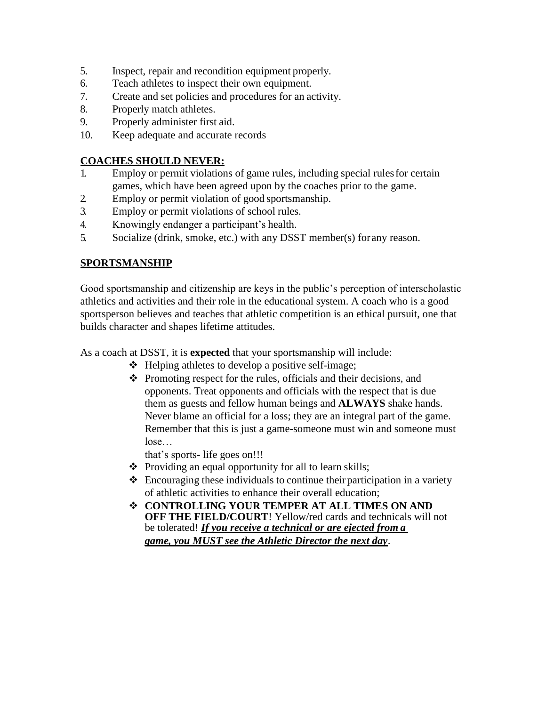- 5. Inspect, repair and recondition equipment properly.
- 6. Teach athletes to inspect their own equipment.
- 7. Create and set policies and procedures for an activity.
- 8. Properly match athletes.
- 9. Properly administer first aid.
- 10. Keep adequate and accurate records

#### **COACHES SHOULD NEVER:**

- 1. Employ or permit violations of game rules, including special rulesfor certain games, which have been agreed upon by the coaches prior to the game.
- 2. Employ or permit violation of good sportsmanship.
- 3. Employ or permit violations of school rules.
- 4. Knowingly endanger a participant's health.
- 5. Socialize (drink, smoke, etc.) with any DSST member(s) forany reason.

#### **SPORTSMANSHIP**

Good sportsmanship and citizenship are keys in the public's perception of interscholastic athletics and activities and their role in the educational system. A coach who is a good sportsperson believes and teaches that athletic competition is an ethical pursuit, one that builds character and shapes lifetime attitudes.

As a coach at DSST, it is **expected** that your sportsmanship will include:

- $\triangle$  Helping athletes to develop a positive self-image;
- $\triangle$  Promoting respect for the rules, officials and their decisions, and opponents. Treat opponents and officials with the respect that is due them as guests and fellow human beings and **ALWAYS** shake hands. Never blame an official for a loss; they are an integral part of the game. Remember that this is just a game-someone must win and someone must lose…

that's sports- life goes on!!!

- \* Providing an equal opportunity for all to learn skills;
- $\triangleleft$  Encouraging these individuals to continue their participation in a variety of athletic activities to enhance their overall education;
- **CONTROLLING YOUR TEMPER AT ALL TIMES ON AND OFF THE FIELD/COURT**! Yellow/red cards and technicals will not be tolerated! *If you receive a technical or are ejected from a game, you MUST see the Athletic Director the next day*.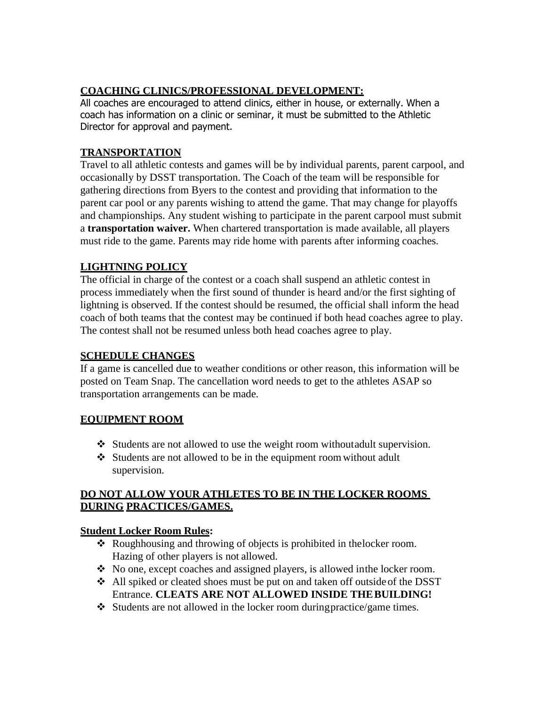# **COACHING CLINICS/PROFESSIONAL DEVELOPMENT:**

All coaches are encouraged to attend clinics, either in house, or externally. When a coach has information on a clinic or seminar, it must be submitted to the Athletic Director for approval and payment.

## **TRANSPORTATION**

Travel to all athletic contests and games will be by individual parents, parent carpool, and occasionally by DSST transportation. The Coach of the team will be responsible for gathering directions from Byers to the contest and providing that information to the parent car pool or any parents wishing to attend the game. That may change for playoffs and championships. Any student wishing to participate in the parent carpool must submit a **transportation waiver.** When chartered transportation is made available, all players must ride to the game. Parents may ride home with parents after informing coaches.

## **LIGHTNING POLICY**

The official in charge of the contest or a coach shall suspend an athletic contest in process immediately when the first sound of thunder is heard and/or the first sighting of lightning is observed. If the contest should be resumed, the official shall inform the head coach of both teams that the contest may be continued if both head coaches agree to play. The contest shall not be resumed unless both head coaches agree to play.

## **SCHEDULE CHANGES**

If a game is cancelled due to weather conditions or other reason, this information will be posted on Team Snap. The cancellation word needs to get to the athletes ASAP so transportation arrangements can be made.

## **EQUIPMENT ROOM**

- $\triangleleft$  Students are not allowed to use the weight room without adult supervision.
- $\triangleleft$  Students are not allowed to be in the equipment room without adult supervision.

### **DO NOT ALLOW YOUR ATHLETES TO BE IN THE LOCKER ROOMS DURING PRACTICES/GAMES.**

### **Student Locker Room Rules:**

- Roughhousing and throwing of objects is prohibited in thelocker room. Hazing of other players is not allowed.
- No one, except coaches and assigned players, is allowed inthe locker room.
- All spiked or cleated shoes must be put on and taken off outside of the DSST Entrance. **CLEATS ARE NOT ALLOWED INSIDE THEBUILDING!**
- $\bullet$  Students are not allowed in the locker room during practice/game times.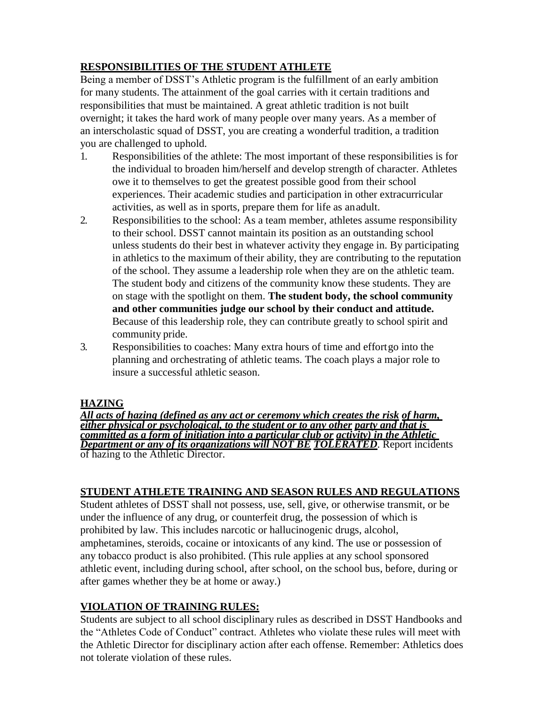# **RESPONSIBILITIES OF THE STUDENT ATHLETE**

Being a member of DSST's Athletic program is the fulfillment of an early ambition for many students. The attainment of the goal carries with it certain traditions and responsibilities that must be maintained. A great athletic tradition is not built overnight; it takes the hard work of many people over many years. As a member of an interscholastic squad of DSST, you are creating a wonderful tradition, a tradition you are challenged to uphold.

- 1. Responsibilities of the athlete: The most important of these responsibilities is for the individual to broaden him/herself and develop strength of character. Athletes owe it to themselves to get the greatest possible good from their school experiences. Their academic studies and participation in other extracurricular activities, as well as in sports, prepare them for life as anadult.
- 2. Responsibilities to the school: As a team member, athletes assume responsibility to their school. DSST cannot maintain its position as an outstanding school unless students do their best in whatever activity they engage in. By participating in athletics to the maximum of their ability, they are contributing to the reputation of the school. They assume a leadership role when they are on the athletic team. The student body and citizens of the community know these students. They are on stage with the spotlight on them. **The student body, the school community and other communities judge our school by their conduct and attitude.**  Because of this leadership role, they can contribute greatly to school spirit and community pride.
- 3. Responsibilities to coaches: Many extra hours of time and effortgo into the planning and orchestrating of athletic teams. The coach plays a major role to insure a successful athletic season.

### **HAZING**

*All acts of hazing (defined as any act or ceremony which creates the risk of harm, either physical or psychological, to the student or to any other party and that is committed as a form of initiation into a particular club or activity) in the Athletic Department or any of its organizations will NOT BE TOLERATED*. Report incidents of hazing to the Athletic Director.

### **STUDENT ATHLETE TRAINING AND SEASON RULES AND REGULATIONS**

Student athletes of DSST shall not possess, use, sell, give, or otherwise transmit, or be under the influence of any drug, or counterfeit drug, the possession of which is prohibited by law. This includes narcotic or hallucinogenic drugs, alcohol, amphetamines, steroids, cocaine or intoxicants of any kind. The use or possession of any tobacco product is also prohibited. (This rule applies at any school sponsored athletic event, including during school, after school, on the school bus, before, during or after games whether they be at home or away.)

## **VIOLATION OF TRAINING RULES:**

Students are subject to all school disciplinary rules as described in DSST Handbooks and the "Athletes Code of Conduct" contract. Athletes who violate these rules will meet with the Athletic Director for disciplinary action after each offense. Remember: Athletics does not tolerate violation of these rules.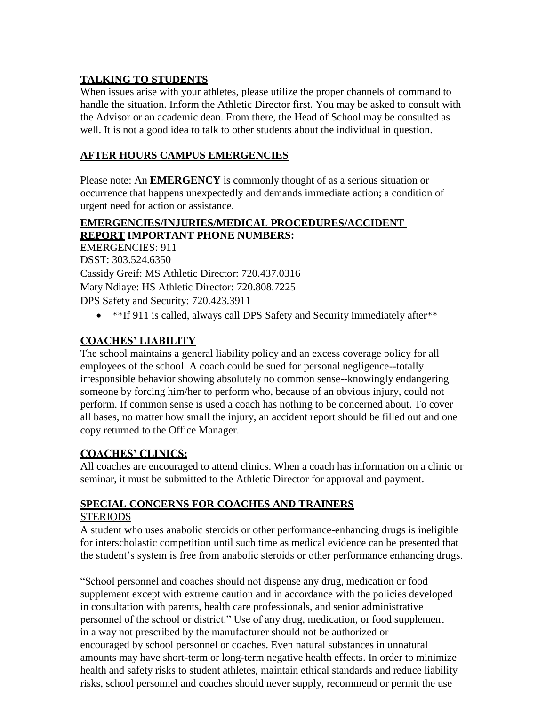### **TALKING TO STUDENTS**

When issues arise with your athletes, please utilize the proper channels of command to handle the situation. Inform the Athletic Director first. You may be asked to consult with the Advisor or an academic dean. From there, the Head of School may be consulted as well. It is not a good idea to talk to other students about the individual in question.

### **AFTER HOURS CAMPUS EMERGENCIES**

Please note: An **EMERGENCY** is commonly thought of as a serious situation or occurrence that happens unexpectedly and demands immediate action; a condition of urgent need for action or assistance.

### **EMERGENCIES/INJURIES/MEDICAL PROCEDURES/ACCIDENT REPORT IMPORTANT PHONE NUMBERS:**

EMERGENCIES: 911 DSST: 303.524.6350 Cassidy Greif: MS Athletic Director: 720.437.0316 Maty Ndiaye: HS Athletic Director: 720.808.7225 DPS Safety and Security: 720.423.3911

• \*\*If 911 is called, always call DPS Safety and Security immediately after\*\*

## **COACHES' LIABILITY**

The school maintains a general liability policy and an excess coverage policy for all employees of the school. A coach could be sued for personal negligence--totally irresponsible behavior showing absolutely no common sense--knowingly endangering someone by forcing him/her to perform who, because of an obvious injury, could not perform. If common sense is used a coach has nothing to be concerned about. To cover all bases, no matter how small the injury, an accident report should be filled out and one copy returned to the Office Manager.

## **COACHES' CLINICS:**

All coaches are encouraged to attend clinics. When a coach has information on a clinic or seminar, it must be submitted to the Athletic Director for approval and payment.

#### **SPECIAL CONCERNS FOR COACHES AND TRAINERS STERIODS**

A student who uses anabolic steroids or other performance-enhancing drugs is ineligible for interscholastic competition until such time as medical evidence can be presented that the student's system is free from anabolic steroids or other performance enhancing drugs.

"School personnel and coaches should not dispense any drug, medication or food supplement except with extreme caution and in accordance with the policies developed in consultation with parents, health care professionals, and senior administrative personnel of the school or district." Use of any drug, medication, or food supplement in a way not prescribed by the manufacturer should not be authorized or encouraged by school personnel or coaches. Even natural substances in unnatural amounts may have short-term or long-term negative health effects. In order to minimize health and safety risks to student athletes, maintain ethical standards and reduce liability risks, school personnel and coaches should never supply, recommend or permit the use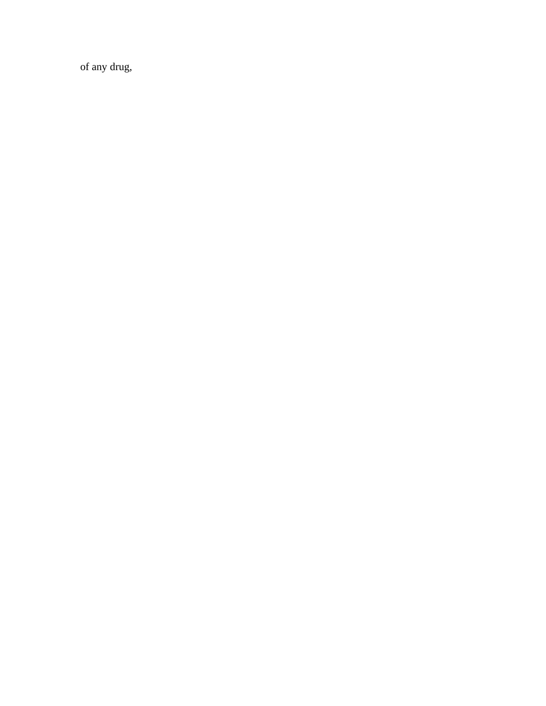of any drug,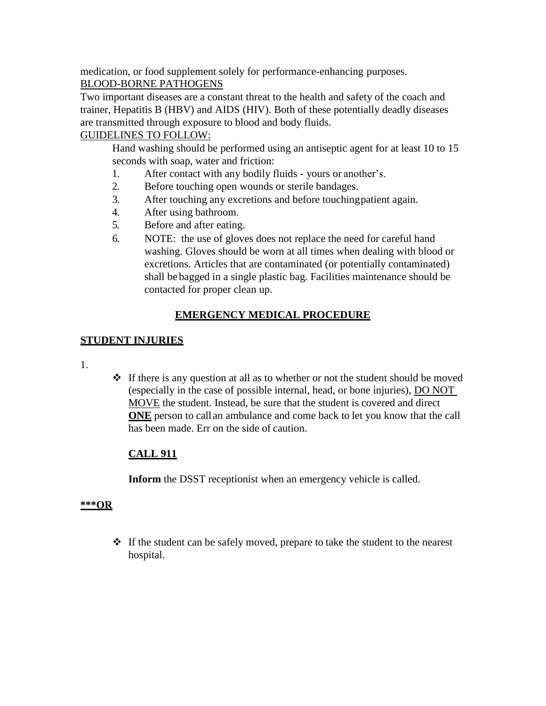medication, or food supplement solely for performance-enhancing purposes. BLOOD-BORNE PATHOGENS

Two important diseases are a constant threat to the health and safety of the coach and trainer, Hepatitis B (HBV) and AIDS (HIV). Both of these potentially deadly diseases are transmitted through exposure to blood and body fluids.

## GUIDELINES TO FOLLOW:

Hand washing should be performed using an antiseptic agent for at least 10 to 15 seconds with soap, water and friction:

- 1. After contact with any bodily fluids yours or another's.
- 2. Before touching open wounds or sterile bandages.
- 3. After touching any excretions and before touchingpatient again.
- 4. After using bathroom.
- 5. Before and after eating.
- 6. NOTE: the use of gloves does not replace the need for careful hand washing. Gloves should be worn at all times when dealing with blood or excretions. Articles that are contaminated (or potentially contaminated) shall be bagged in a single plastic bag. Facilities maintenance should be contacted for proper clean up.

## **EMERGENCY MEDICAL PROCEDURE**

### **STUDENT INJURIES**

- 1.
- $\div$  If there is any question at all as to whether or not the student should be moved (especially in the case of possible internal, head, or bone injuries), DO NOT MOVE the student. Instead, be sure that the student is covered and direct **ONE** person to call an ambulance and come back to let you know that the call has been made. Err on the side of caution.

## **CALL 911**

**Inform** the DSST receptionist when an emergency vehicle is called.

### **\*\*\*OR**

 $\cdot \cdot$  If the student can be safely moved, prepare to take the student to the nearest hospital.